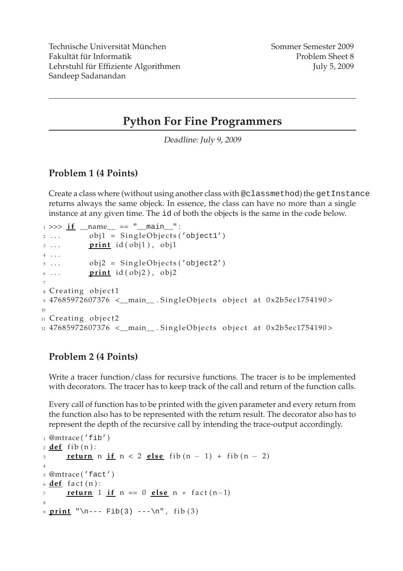# **Python For Fine Programmers**

Deadline: July 9, <sup>2009</sup>

### **Problem 1 (4 Points)**

Create a class where (without using another class with @classmethod) the getInstance returns always the same objeck. In essence, the class can have no more than a single instance at any given time. The id of both the objects is the same in the code below.

```
_1 >>> if \Box name == " main ":
2 \ldots obj1 = SingleObjects ('object1')
3 ... print id ( obj1 ), obj1
4 . . .
5 ... obj2 = SingleObjects ('object2')
\frac{6}{100} ... print id ( obj2 ), obj2
7
8 Creating object1
9 47685972607376 <__main__.SingleObjects object at 0x2b5ec1754190>
10
11 Creating object2
12 47685972607376 <__main__. SingleObjects object at 0x2b5ec1754190>
```
## **Problem 2 (4 Points)**

Write a tracer function/class for recursive functions. The tracer is to be implemented with decorators. The tracer has to keep track of the call and return of the function calls.

Every call of function has to be printed with the given parameter and every return from the function also has to be represented with the return result. The decorator also has to represent the depth of the recursive call by intending the trace-output accordingly.

```
1 @mtrace ('fib')
2 def fib(n):
<u>return</u> n if n < 2 else fib (n - 1) + fib (n - 2)4
5 @mtrace ('fact')
6 def fact (n):
     return 1 if n == 0 else n * fact (n-1)8
9 print "n--- Fib(3) ---\ln", fib(3)
```